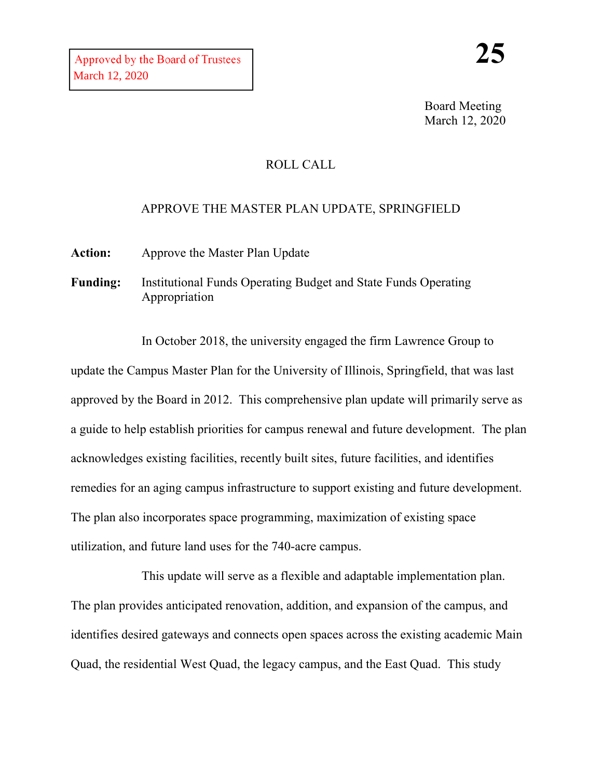Board Meeting March 12, 2020

## ROLL CALL

## APPROVE THE MASTER PLAN UPDATE, SPRINGFIELD

**Action:** Approve the Master Plan Update

**Funding:** Institutional Funds Operating Budget and State Funds Operating Appropriation

In October 2018, the university engaged the firm Lawrence Group to update the Campus Master Plan for the University of Illinois, Springfield, that was last approved by the Board in 2012. This comprehensive plan update will primarily serve as a guide to help establish priorities for campus renewal and future development. The plan acknowledges existing facilities, recently built sites, future facilities, and identifies remedies for an aging campus infrastructure to support existing and future development. The plan also incorporates space programming, maximization of existing space utilization, and future land uses for the 740-acre campus.

This update will serve as a flexible and adaptable implementation plan. The plan provides anticipated renovation, addition, and expansion of the campus, and identifies desired gateways and connects open spaces across the existing academic Main Quad, the residential West Quad, the legacy campus, and the East Quad. This study